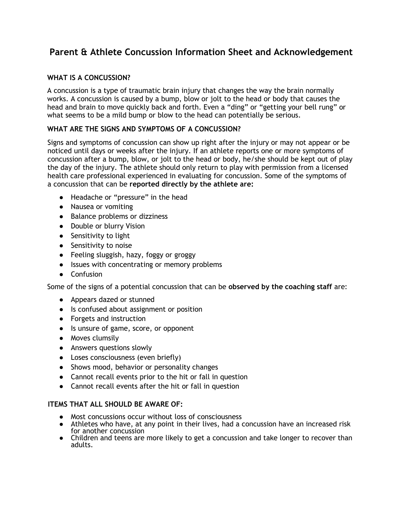# **Parent & Athlete Concussion Information Sheet and Acknowledgement**

## **WHAT IS A CONCUSSION?**

A concussion is a type of traumatic brain injury that changes the way the brain normally works. A concussion is caused by a bump, blow or jolt to the head or body that causes the head and brain to move quickly back and forth. Even a "ding" or "getting your bell rung" or what seems to be a mild bump or blow to the head can potentially be serious.

## **WHAT ARE THE SIGNS AND SYMPTOMS OF A CONCUSSION?**

Signs and symptoms of concussion can show up right after the injury or may not appear or be noticed until days or weeks after the injury. If an athlete reports one or more symptoms of concussion after a bump, blow, or jolt to the head or body, he/she should be kept out of play the day of the injury. The athlete should only return to play with permission from a licensed health care professional experienced in evaluating for concussion. Some of the symptoms of a concussion that can be **reported directly by the athlete are:** 

- Headache or "pressure" in the head
- Nausea or vomiting
- Balance problems or dizziness
- Double or blurry Vision
- Sensitivity to light
- Sensitivity to noise
- Feeling sluggish, hazy, foggy or groggy
- Issues with concentrating or memory problems
- Confusion

Some of the signs of a potential concussion that can be **observed by the coaching staff** are:

- Appears dazed or stunned
- Is confused about assignment or position
- Forgets and instruction
- Is unsure of game, score, or opponent
- Moves clumsily
- Answers questions slowly
- Loses consciousness (even briefly)
- Shows mood, behavior or personality changes
- Cannot recall events prior to the hit or fall in question
- Cannot recall events after the hit or fall in question

### **ITEMS THAT ALL SHOULD BE AWARE OF:**

- Most concussions occur without loss of consciousness
- Athletes who have, at any point in their lives, had a concussion have an increased risk for another concussion
- Children and teens are more likely to get a concussion and take longer to recover than adults.